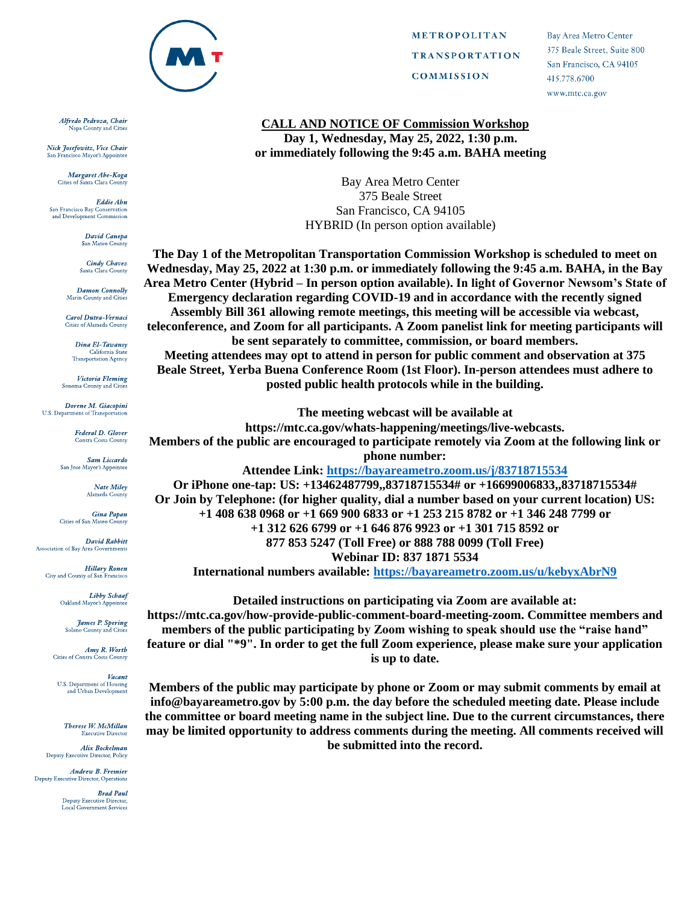

Alfredo Pedroza, Chair Napa County and Cities

Nick Josefowitz, Vice Chair San Francisco Mayor's Annointee

> Margaret Abe-Koga Cities of Santa Clara Count

Eddie Abn San Francisco Bay Conservation and Development Commission

> David Canepa San Mateo County

**Cindy Chavez** Santa Clara County

**Damon Connolly** Marin County and Citi

Carol Dutra-Vernaci Cities of Alameda County

> Dina El-Tawansy California State<br>Transportation Agency

Victoria Fleming Sonoma County and Citie

Dorene M. Giacopini U.S. Department of Transportation

> **Federal D. Glover Contra Costa County**

Sam Liccardo San Jose Mayor's Appointee

Nate Miley<br>Alameda County

Gina Papan Cities of San Mateo County

David Rahhitt Association of Bay Area Governments

> **Hillary Ronen** City and County of Sar Francisco

> > **Libby Schaaf** Oakland Mayor's Appointee

**James P. Spering** Solano County and Cities

**Amy R. Worth**<br>Cities of Contra Costa County

Vacant U.S. Department of Housing and Urban Development

Therese W. McMillan **Executive Director** 

Alix Bockelman Deputy Executive Director, Policy

Andrew B. Fremier Deputy Executive Director, Operations

> **Brad Paul** Deputy Executive Director,<br>Local Government Services

**METROPOLITAN TRANSPORTATION COMMISSION** 

**Bay Area Metro Center** 375 Beale Street, Suite 800 San Francisco, CA 94105 415.778.6700 www.mtc.ca.gov

## **CALL AND NOTICE OF Commission Workshop Day 1, Wednesday, May 25, 2022, 1:30 p.m. or immediately following the 9:45 a.m. BAHA meeting**

Bay Area Metro Center 375 Beale Street San Francisco, CA 94105 HYBRID (In person option available)

**The Day 1 of the Metropolitan Transportation Commission Workshop is scheduled to meet on Wednesday, May 25, 2022 at 1:30 p.m. or immediately following the 9:45 a.m. BAHA, in the Bay Area Metro Center (Hybrid – In person option available). In light of Governor Newsom's State of Emergency declaration regarding COVID-19 and in accordance with the recently signed Assembly Bill 361 allowing remote meetings, this meeting will be accessible via webcast, teleconference, and Zoom for all participants. A Zoom panelist link for meeting participants will be sent separately to committee, commission, or board members. Meeting attendees may opt to attend in person for public comment and observation at 375 Beale Street, Yerba Buena Conference Room (1st Floor). In-person attendees must adhere to** 

**posted public health protocols while in the building.**

**The meeting webcast will be available at**

**https://mtc.ca.gov/whats-happening/meetings/live-webcasts.**

**Members of the public are encouraged to participate remotely via Zoom at the following link or phone number:**

**Attendee Link:<https://bayareametro.zoom.us/j/83718715534>**

**Or iPhone one-tap: US: +13462487799,,83718715534# or +16699006833,,83718715534# Or Join by Telephone: (for higher quality, dial a number based on your current location) US: +1 408 638 0968 or +1 669 900 6833 or +1 253 215 8782 or +1 346 248 7799 or +1 312 626 6799 or +1 646 876 9923 or +1 301 715 8592 or 877 853 5247 (Toll Free) or 888 788 0099 (Toll Free) Webinar ID: 837 1871 5534**

**International numbers available:<https://bayareametro.zoom.us/u/kebyxAbrN9>**

**Detailed instructions on participating via Zoom are available at: https://mtc.ca.gov/how-provide-public-comment-board-meeting-zoom. Committee members and members of the public participating by Zoom wishing to speak should use the "raise hand" feature or dial "\*9". In order to get the full Zoom experience, please make sure your application is up to date.**

**Members of the public may participate by phone or Zoom or may submit comments by email at info@bayareametro.gov by 5:00 p.m. the day before the scheduled meeting date. Please include the committee or board meeting name in the subject line. Due to the current circumstances, there may be limited opportunity to address comments during the meeting. All comments received will be submitted into the record.**